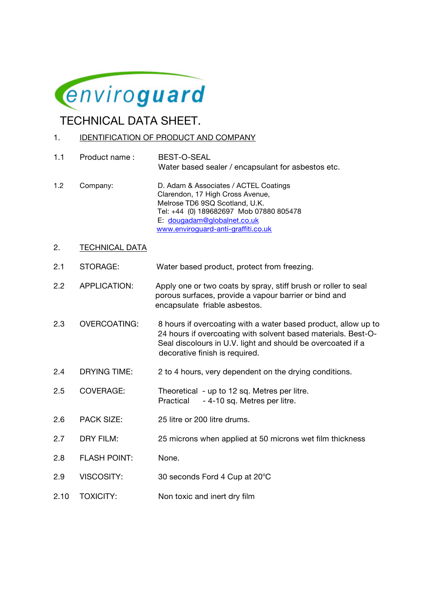

TECHNICAL DATA SHEET.

## 1. IDENTIFICATION OF PRODUCT AND COMPANY

1.1 Product name : BEST-O-SEAL Water based sealer / encapsulant for asbestos etc.

- 1.2 Company: D. Adam & Associates / ACTEL Coatings Clarendon, 17 High Cross Avenue, Melrose TD6 9SQ Scotland, U.K. Tel: +44 (0) 189682697 Mob 07880 805478 E: dougadam@globalnet.co.uk www.enviroguard-anti-graffiti.co.uk
- 2. TECHNICAL DATA
- 2.1 STORAGE: Water based product, protect from freezing.
- 2.2 APPLICATION: Apply one or two coats by spray, stiff brush or roller to seal porous surfaces, provide a vapour barrier or bind and encapsulate friable asbestos.
- 2.3 OVERCOATING: 8 hours if overcoating with a water based product, allow up to 24 hours if overcoating with solvent based materials. Best-O- Seal discolours in U.V. light and should be overcoated if a decorative finish is required.
- 2.4 DRYING TIME: 2 to 4 hours, very dependent on the drying conditions.
- 2.5 COVERAGE: Theoretical up to 12 sq. Metres per litre. Practical - 4-10 sq. Metres per litre.
- 2.6 PACK SIZE: 25 litre or 200 litre drums.
- 2.7 DRY FILM: 25 microns when applied at 50 microns wet film thickness
- 2.8 FLASH POINT: None.
- 2.9 VISCOSITY: 30 seconds Ford 4 Cup at 20°C
- 2.10 TOXICITY: Non toxic and inert dry film